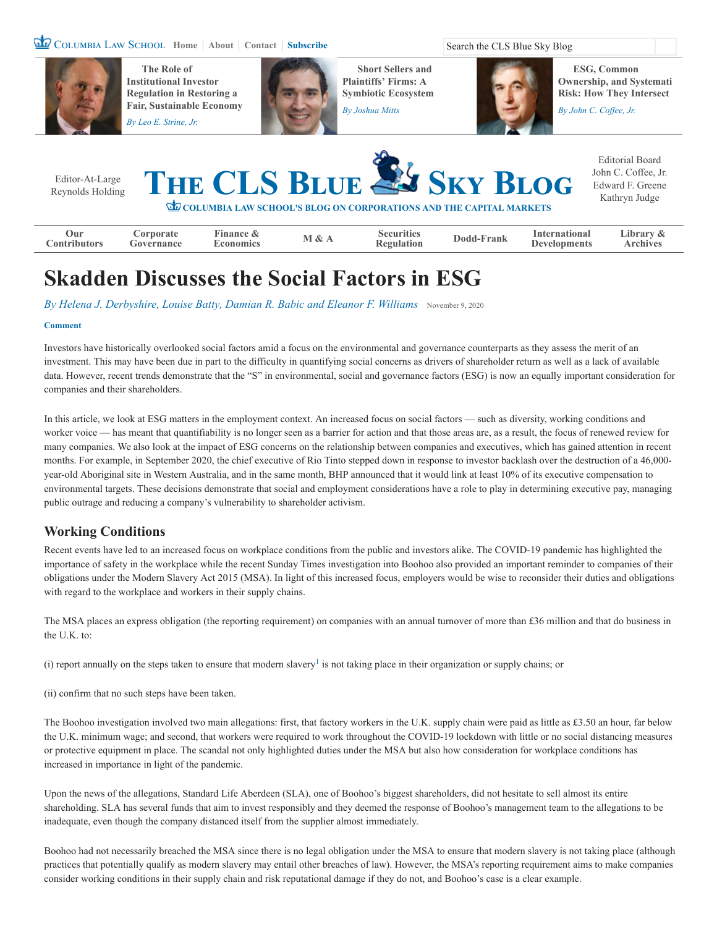### COLUMBIA LAW SCHOOL [Home](https://clsbluesky.law.columbia.edu/) | [About](https://clsbluesky.law.columbia.edu/about-us/) | [Contact](https://clsbluesky.law.columbia.edu/submit/) | [Subscribe](https://clsbluesky.law.columbia.edu/newsletter-signup/) Search the CLS Blue Sky Blog



**The Role of Institutional Investor Regulation in Restoring a [Fair, Sustainable Economy](https://clsbluesky.law.columbia.edu/2020/10/27/the-central-role-of-institutional-investor-regulation-in-restoring-a-fair-and-sustainable-american-economy/)** *By [Leo E. Strine, Jr.](https://clsbluesky.law.columbia.edu/author/leo-e-strine/)*



**Short Sellers and Plaintiffs' Firms: A [Symbiotic Ecosystem](https://clsbluesky.law.columbia.edu/2020/10/14/short-sellers-and-plaintiffs-firms-a-symbiotic-ecosystem/)**

*By [Joshua Mitts](https://clsbluesky.law.columbia.edu/author/joshua-mitts/)*

**ESG, Common Ownership, and Systemati Risk: How They Intersect**

*By [John C. Coffee, Jr.](https://clsbluesky.law.columbia.edu/author/john-c-coffee-jr/)*



# **Skadden Discusses the Social Factors in ESG**

*By [Helena J. Derbyshire,](https://clsbluesky.law.columbia.edu/author/helena-j-derbyshire/) [Louise Batty,](https://clsbluesky.law.columbia.edu/author/louise-batty/) [Damian R. Babic](https://clsbluesky.law.columbia.edu/author/damian-r-babic/) and [Eleanor F. Williams](https://clsbluesky.law.columbia.edu/author/eleanor-f-williams/)* [November 9, 2020](https://clsbluesky.law.columbia.edu/2020/11/09/skadden-discusses-the-social-factors-in-esg/)

#### **[Comment](#page-3-0)**

Investors have historically overlooked social factors amid a focus on the environmental and governance counterparts as they assess the merit of an investment. This may have been due in part to the difficulty in quantifying social concerns as drivers of shareholder return as well as a lack of available data. However, recent trends demonstrate that the "S" in environmental, social and governance factors (ESG) is now an equally important consideration for companies and their shareholders.

In this article, we look at ESG matters in the employment context. An increased focus on social factors — such as diversity, working conditions and worker voice — has meant that quantifiability is no longer seen as a barrier for action and that those areas are, as a result, the focus of renewed review for many companies. We also look at the impact of ESG concerns on the relationship between companies and executives, which has gained attention in recent months. For example, in September 2020, the chief executive of Rio Tinto stepped down in response to investor backlash over the destruction of a 46,000 year-old Aboriginal site in Western Australia, and in the same month, BHP announced that it would link at least 10% of its executive compensation to environmental targets. These decisions demonstrate that social and employment considerations have a role to play in determining executive pay, managing public outrage and reducing a company's vulnerability to shareholder activism.

## **Working Conditions**

Recent events have led to an increased focus on workplace conditions from the public and investors alike. The COVID-19 pandemic has highlighted the importance of safety in the workplace while the recent Sunday Times investigation into Boohoo also provided an important reminder to companies of their obligations under the Modern Slavery Act 2015 (MSA). In light of this increased focus, employers would be wise to reconsider their duties and obligations with regard to the workplace and workers in their supply chains.

The MSA places an express obligation (the reporting requirement) on companies with an annual turnover of more than £36 million and that do business in the U.K. to:

(i)report annually on the steps taken to ensure that modern slavery<sup>1</sup> is not taking place in their organization or supply chains; or

(ii) confirm that no such steps have been taken.

The Boohoo investigation involved two main allegations: first, that factory workers in the U.K. supply chain were paid as little as £3.50 an hour, far below the U.K. minimum wage; and second, that workers were required to work throughout the COVID-19 lockdown with little or no social distancing measures or protective equipment in place. The scandal not only highlighted duties under the MSA but also how consideration for workplace conditions has increased in importance in light of the pandemic.

Upon the news of the allegations, Standard Life Aberdeen (SLA), one of Boohoo's biggest shareholders, did not hesitate to sell almost its entire shareholding. SLA has several funds that aim to invest responsibly and they deemed the response of Boohoo's management team to the allegations to be inadequate, even though the company distanced itself from the supplier almost immediately.

Boohoo had not necessarily breached the MSA since there is no legal obligation under the MSA to ensure that modern slavery is not taking place (although practices that potentially qualify as modern slavery may entail other breaches of law). However, the MSA's reporting requirement aims to make companies consider working conditions in their supply chain and risk reputational damage if they do not, and Boohoo's case is a clear example.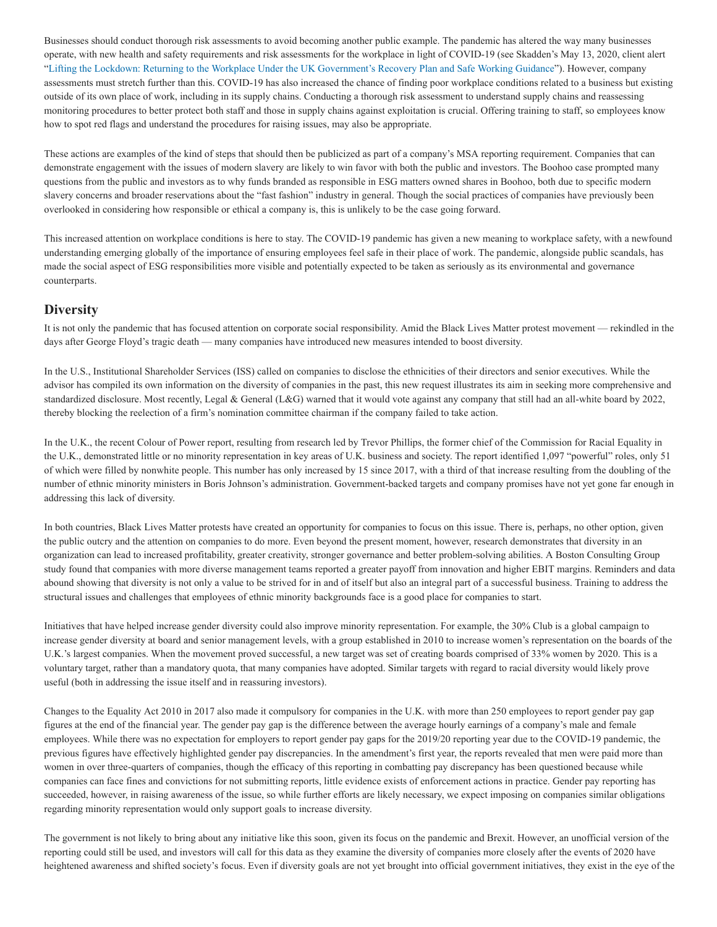Businesses should conduct thorough risk assessments to avoid becoming another public example. The pandemic has altered the way many businesses operate, with new health and safety requirements and risk assessments for the workplace in light of COVID-19 (see Skadden's May 13, 2020, client alert "[Lifting the Lockdown: Returning to the Workplace Under the UK Government's Recovery Plan and Safe Working Guidance](https://www.skadden.com/insights/publications/2020/05/lifting-the-lockdown)"). However, company assessments must stretch further than this. COVID-19 has also increased the chance of finding poor workplace conditions related to a business but existing outside of its own place of work, including in its supply chains. Conducting a thorough risk assessment to understand supply chains and reassessing monitoring procedures to better protect both staff and those in supply chains against exploitation is crucial. Offering training to staff, so employees know how to spot red flags and understand the procedures for raising issues, may also be appropriate.

These actions are examples of the kind of steps that should then be publicized as part of a company's MSA reporting requirement. Companies that can demonstrate engagement with the issues of modern slavery are likely to win favor with both the public and investors. The Boohoo case prompted many questions from the public and investors as to why funds branded as responsible in ESG matters owned shares in Boohoo, both due to specific modern slavery concerns and broader reservations about the "fast fashion" industry in general. Though the social practices of companies have previously been overlooked in considering how responsible or ethical a company is, this is unlikely to be the case going forward.

This increased attention on workplace conditions is here to stay. The COVID-19 pandemic has given a new meaning to workplace safety, with a newfound understanding emerging globally of the importance of ensuring employees feel safe in their place of work. The pandemic, alongside public scandals, has made the social aspect of ESG responsibilities more visible and potentially expected to be taken as seriously as its environmental and governance counterparts.

#### **Diversity**

It is not only the pandemic that has focused attention on corporate social responsibility. Amid the Black Lives Matter protest movement — rekindled in the days after George Floyd's tragic death — many companies have introduced new measures intended to boost diversity.

In the U.S., Institutional Shareholder Services (ISS) called on companies to disclose the ethnicities of their directors and senior executives. While the advisor has compiled its own information on the diversity of companies in the past, this new request illustrates its aim in seeking more comprehensive and standardized disclosure. Most recently, Legal & General (L&G) warned that it would vote against any company that still had an all-white board by 2022, thereby blocking the reelection of a firm's nomination committee chairman if the company failed to take action.

In the U.K., the recent Colour of Power report, resulting from research led by Trevor Phillips, the former chief of the Commission for Racial Equality in the U.K., demonstrated little or no minority representation in key areas of U.K. business and society. The report identified 1,097 "powerful" roles, only 51 of which were filled by nonwhite people. This number has only increased by 15 since 2017, with a third of that increase resulting from the doubling of the number of ethnic minority ministers in Boris Johnson's administration. Government-backed targets and company promises have not yet gone far enough in addressing this lack of diversity.

In both countries, Black Lives Matter protests have created an opportunity for companies to focus on this issue. There is, perhaps, no other option, given the public outcry and the attention on companies to do more. Even beyond the present moment, however, research demonstrates that diversity in an organization can lead to increased profitability, greater creativity, stronger governance and better problem-solving abilities. A Boston Consulting Group study found that companies with more diverse management teams reported a greater payoff from innovation and higher EBIT margins. Reminders and data abound showing that diversity is not only a value to be strived for in and of itself but also an integral part of a successful business. Training to address the structural issues and challenges that employees of ethnic minority backgrounds face is a good place for companies to start.

Initiatives that have helped increase gender diversity could also improve minority representation. For example, the 30% Club is a global campaign to increase gender diversity at board and senior management levels, with a group established in 2010 to increase women's representation on the boards of the U.K.'s largest companies. When the movement proved successful, a new target was set of creating boards comprised of 33% women by 2020. This is a voluntary target, rather than a mandatory quota, that many companies have adopted. Similar targets with regard to racial diversity would likely prove useful (both in addressing the issue itself and in reassuring investors).

Changes to the Equality Act 2010 in 2017 also made it compulsory for companies in the U.K. with more than 250 employees to report gender pay gap figures at the end of the financial year. The gender pay gap is the difference between the average hourly earnings of a company's male and female employees. While there was no expectation for employers to report gender pay gaps for the 2019/20 reporting year due to the COVID-19 pandemic, the previous figures have effectively highlighted gender pay discrepancies. In the amendment's first year, the reports revealed that men were paid more than women in over three-quarters of companies, though the efficacy of this reporting in combatting pay discrepancy has been questioned because while companies can face fines and convictions for not submitting reports, little evidence exists of enforcement actions in practice. Gender pay reporting has succeeded, however, in raising awareness of the issue, so while further efforts are likely necessary, we expect imposing on companies similar obligations regarding minority representation would only support goals to increase diversity.

The government is not likely to bring about any initiative like this soon, given its focus on the pandemic and Brexit. However, an unofficial version of the reporting could still be used, and investors will call for this data as they examine the diversity of companies more closely after the events of 2020 have heightened awareness and shifted society's focus. Even if diversity goals are not yet brought into official government initiatives, they exist in the eye of the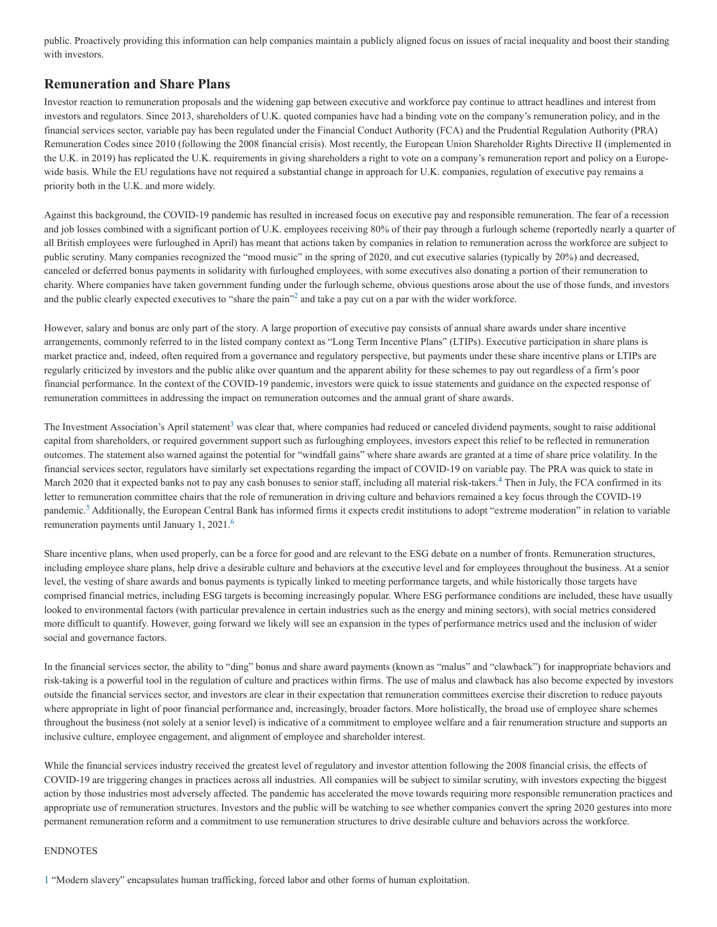public. Proactively providing this information can help companies maintain a publicly aligned focus on issues of racial inequality and boost their standing with investors.

## **Remuneration and Share Plans**

Investor reaction to remuneration proposals and the widening gap between executive and workforce pay continue to attract headlines and interest from investors and regulators. Since 2013, shareholders of U.K. quoted companies have had a binding vote on the company's remuneration policy, and in the financial services sector, variable pay has been regulated under the Financial Conduct Authority (FCA) and the Prudential Regulation Authority (PRA) Remuneration Codes since 2010 (following the 2008 financial crisis). Most recently, the European Union Shareholder Rights Directive II (implemented in the U.K. in 2019) has replicated the U.K. requirements in giving shareholders a right to vote on a company's remuneration report and policy on a Europewide basis. While the EU regulations have not required a substantial change in approach for U.K. companies, regulation of executive pay remains a priority both in the U.K. and more widely.

Against this background, the COVID-19 pandemic has resulted in increased focus on executive pay and responsible remuneration. The fear of a recession and job losses combined with a significant portion of U.K. employees receiving 80% of their pay through a furlough scheme (reportedly nearly a quarter of all British employees were furloughed in April) has meant that actions taken by companies in relation to remuneration across the workforce are subject to public scrutiny. Many companies recognized the "mood music" in the spring of 2020, and cut executive salaries (typically by 20%) and decreased, canceled or deferred bonus payments in solidarity with furloughed employees, with some executives also donating a portion of their remuneration to charity. Where companies have taken government funding under the furlough scheme, obvious questions arose about the use of those funds, and investors and the public clearly expected executives to "share the pain"<sup>2</sup> and take a pay cut on a par with the wider workforce.

However, salary and bonus are only part of the story. A large proportion of executive pay consists of annual share awards under share incentive arrangements, commonly referred to in the listed company context as "Long Term Incentive Plans" (LTIPs). Executive participation in share plans is market practice and, indeed, often required from a governance and regulatory perspective, but payments under these share incentive plans or LTIPs are regularly criticized by investors and the public alike over quantum and the apparent ability for these schemes to pay out regardless of a firm's poor financial performance. In the context of the COVID-19 pandemic, investors were quick to issue statements and guidance on the expected response of remuneration committees in addressing the impact on remuneration outcomes and the annual grant of share awards.

The Investmen[t](https://www.skadden.com/insights/publications/2020/10/finding-the-s-in-esg#ftn3) Association's April statement<sup>3</sup> was clear that, where companies had reduced or canceled dividend payments, sought to raise additional capital from shareholders, or required government support such as furloughing employees, investors expect this relief to be reflected in remuneration outcomes. The statement also warned against the potential for "windfall gains" where share awards are granted at a time of share price volatility. In the financial services sector, regulators have similarly set expectations regarding the impact of COVID-19 on variable pay. The PRA was quick to state in March2020 that it expected banks not to pay any cash bonuses to senior staff, including all material risk-takers.<sup>4</sup> Then in July, the FCA confirmed in its letter to remuneration committee chairs that the role of remuneration in driving culture and behaviors remained a key focus through the COVID-19 pandemic.<sup>[5](https://www.skadden.com/insights/publications/2020/10/finding-the-s-in-esg#ftn5)</sup> Additionally, the European Central Bank has informed firms it expects credit institutions to adopt "extreme moderation" in relation to variable remuneration payments until January 1, 2021. [6](https://www.skadden.com/insights/publications/2020/10/finding-the-s-in-esg#ftn6)

Share incentive plans, when used properly, can be a force for good and are relevant to the ESG debate on a number of fronts. Remuneration structures, including employee share plans, help drive a desirable culture and behaviors at the executive level and for employees throughout the business. At a senior level, the vesting of share awards and bonus payments is typically linked to meeting performance targets, and while historically those targets have comprised financial metrics, including ESG targets is becoming increasingly popular. Where ESG performance conditions are included, these have usually looked to environmental factors (with particular prevalence in certain industries such as the energy and mining sectors), with social metrics considered more difficult to quantify. However, going forward we likely will see an expansion in the types of performance metrics used and the inclusion of wider social and governance factors.

In the financial services sector, the ability to "ding" bonus and share award payments (known as "malus" and "clawback") for inappropriate behaviors and risk-taking is a powerful tool in the regulation of culture and practices within firms. The use of malus and clawback has also become expected by investors outside the financial services sector, and investors are clear in their expectation that remuneration committees exercise their discretion to reduce payouts where appropriate in light of poor financial performance and, increasingly, broader factors. More holistically, the broad use of employee share schemes throughout the business (not solely at a senior level) is indicative of a commitment to employee welfare and a fair renumeration structure and supports an inclusive culture, employee engagement, and alignment of employee and shareholder interest.

While the financial services industry received the greatest level of regulatory and investor attention following the 2008 financial crisis, the effects of COVID-19 are triggering changes in practices across all industries. All companies will be subject to similar scrutiny, with investors expecting the biggest action by those industries most adversely affected. The pandemic has accelerated the move towards requiring more responsible remuneration practices and appropriate use of remuneration structures. Investors and the public will be watching to see whether companies convert the spring 2020 gestures into more permanent remuneration reform and a commitment to use remuneration structures to drive desirable culture and behaviors across the workforce.

#### ENDNOTES

[1](https://www.skadden.com/insights/publications/2020/10/finding-the-s-in-esg#topftn1) "Modern slavery" encapsulates human trafficking, forced labor and other forms of human exploitation.